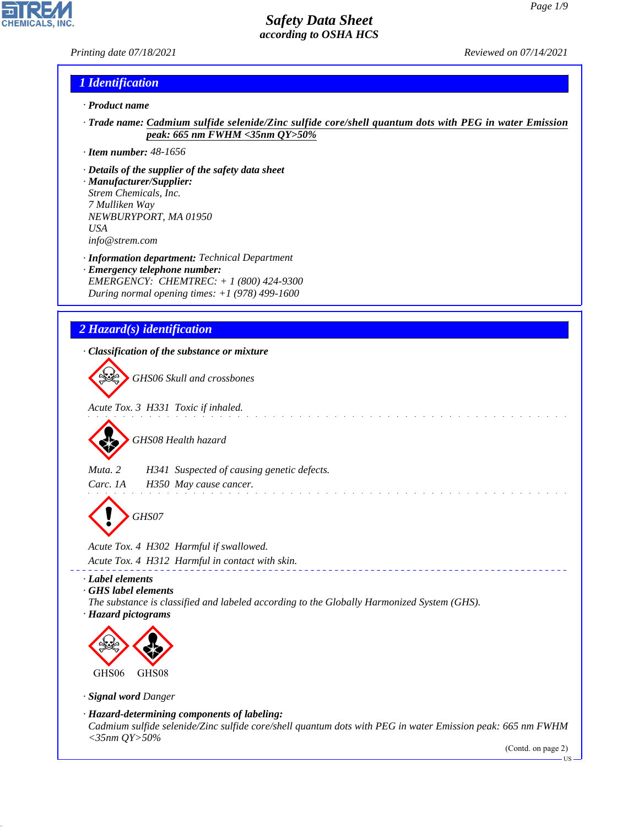*Printing date 07/18/2021 Reviewed on 07/14/2021*

**CHEMICALS** 

## *1 Identification*

- *· Product name*
- *· Trade name: Cadmium sulfide selenide/Zinc sulfide core/shell quantum dots with PEG in water Emission peak: 665 nm FWHM <35nm QY>50%*

 $\sim$ 

. . . . . . . . . . . . . . . .

- *· Item number: 48-1656*
- *· Details of the supplier of the safety data sheet*
- *· Manufacturer/Supplier: Strem Chemicals, Inc. 7 Mulliken Way NEWBURYPORT, MA 01950 USA info@strem.com*
- *· Information department: Technical Department · Emergency telephone number: EMERGENCY: CHEMTREC: + 1 (800) 424-9300*
- *During normal opening times: +1 (978) 499-1600*

# *2 Hazard(s) identification*

*· Classification of the substance or mixture*

d~*GHS06 Skull and crossbones*

*Acute Tox. 3 H331 Toxic if inhaled.*



*Muta. 2 H341 Suspected of causing genetic defects.*

*Carc. 1A H350 May cause cancer.*

d~*GHS07*

*Acute Tox. 4 H302 Harmful if swallowed. Acute Tox. 4 H312 Harmful in contact with skin.*

*· Label elements*

*· GHS label elements*

*The substance is classified and labeled according to the Globally Harmonized System (GHS).*

*· Hazard pictograms*



*· Signal word Danger*

44.1.1

*· Hazard-determining components of labeling: Cadmium sulfide selenide/Zinc sulfide core/shell quantum dots with PEG in water Emission peak: 665 nm FWHM <35nm QY>50%*

(Contd. on page 2)

**HS**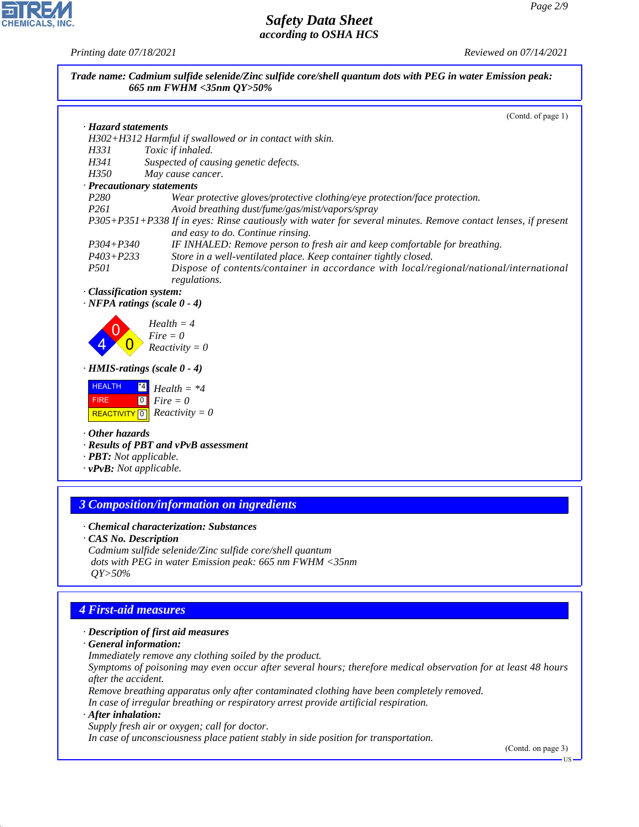*Printing date 07/18/2021 Reviewed on 07/14/2021*

CHEMICALS, INC.

44.1.1

| · Hazard statements<br>H302+H312 Harmful if swallowed or in contact with skin.<br>H331<br>Toxic if inhaled.<br>H341<br>Suspected of causing genetic defects.<br>H350<br>May cause cancer.<br>· Precautionary statements<br>P <sub>280</sub><br>Wear protective gloves/protective clothing/eye protection/face protection.<br>P <sub>261</sub><br>Avoid breathing dust/fume/gas/mist/vapors/spray<br>P305+P351+P338 If in eyes: Rinse cautiously with water for several minutes. Remove contact lenses, if present<br>and easy to do. Continue rinsing.<br>$P304 + P340$<br>IF INHALED: Remove person to fresh air and keep comfortable for breathing.<br>$P403 + P233$<br>Store in a well-ventilated place. Keep container tightly closed.<br>P501<br>Dispose of contents/container in accordance with local/regional/national/international<br>regulations.<br>· Classification system:<br>$\cdot$ NFPA ratings (scale $0 - 4$ )<br>$Health = 4$<br>$Fire = 0$<br>$Reactivity = 0$<br>$\cdot$ HMIS-ratings (scale $0 - 4$ )<br><b>HEALTH</b><br>$^{\ast}$ 4<br>$Health = *4$<br>$\boxed{0}$<br><b>FIRE</b><br>$Fire = 0$<br>$Reactivity = 0$<br>REACTIVITY <sup>0</sup><br>$\cdot$ Other hazards<br>· Results of PBT and vPvB assessment<br>· <b>PBT</b> : Not applicable.<br>$\cdot$ vPvB: Not applicable.<br><b>3 Composition/information on ingredients</b><br>• Chemical characterization: Substances<br><b>CAS No. Description</b><br>Cadmium sulfide selenide/Zinc sulfide core/shell quantum<br>dots with PEG in water Emission peak: 665 nm FWHM <35nm<br>$QY > 50\%$<br><b>4 First-aid measures</b><br>· Description of first aid measures<br>· General information:<br>Immediately remove any clothing soiled by the product.<br>Symptoms of poisoning may even occur after several hours; therefore medical observation for at least 48 hours<br>after the accident.<br>Remove breathing apparatus only after contaminated clothing have been completely removed.<br>In case of irregular breathing or respiratory arrest provide artificial respiration.<br>$\cdot$ After inhalation:<br>Supply fresh air or oxygen; call for doctor.<br>In case of unconsciousness place patient stably in side position for transportation.<br>(Contd. on page 3) | Trade name: Cadmium sulfide selenide/Zinc sulfide core/shell quantum dots with PEG in water Emission peak:<br>665 nm FWHM <35nm QY>50% |                    |
|------------------------------------------------------------------------------------------------------------------------------------------------------------------------------------------------------------------------------------------------------------------------------------------------------------------------------------------------------------------------------------------------------------------------------------------------------------------------------------------------------------------------------------------------------------------------------------------------------------------------------------------------------------------------------------------------------------------------------------------------------------------------------------------------------------------------------------------------------------------------------------------------------------------------------------------------------------------------------------------------------------------------------------------------------------------------------------------------------------------------------------------------------------------------------------------------------------------------------------------------------------------------------------------------------------------------------------------------------------------------------------------------------------------------------------------------------------------------------------------------------------------------------------------------------------------------------------------------------------------------------------------------------------------------------------------------------------------------------------------------------------------------------------------------------------------------------------------------------------------------------------------------------------------------------------------------------------------------------------------------------------------------------------------------------------------------------------------------------------------------------------------------------------------------------------------------------------------------------------------------------------------|----------------------------------------------------------------------------------------------------------------------------------------|--------------------|
|                                                                                                                                                                                                                                                                                                                                                                                                                                                                                                                                                                                                                                                                                                                                                                                                                                                                                                                                                                                                                                                                                                                                                                                                                                                                                                                                                                                                                                                                                                                                                                                                                                                                                                                                                                                                                                                                                                                                                                                                                                                                                                                                                                                                                                                                  |                                                                                                                                        | (Contd. of page 1) |
|                                                                                                                                                                                                                                                                                                                                                                                                                                                                                                                                                                                                                                                                                                                                                                                                                                                                                                                                                                                                                                                                                                                                                                                                                                                                                                                                                                                                                                                                                                                                                                                                                                                                                                                                                                                                                                                                                                                                                                                                                                                                                                                                                                                                                                                                  |                                                                                                                                        |                    |
|                                                                                                                                                                                                                                                                                                                                                                                                                                                                                                                                                                                                                                                                                                                                                                                                                                                                                                                                                                                                                                                                                                                                                                                                                                                                                                                                                                                                                                                                                                                                                                                                                                                                                                                                                                                                                                                                                                                                                                                                                                                                                                                                                                                                                                                                  |                                                                                                                                        |                    |
|                                                                                                                                                                                                                                                                                                                                                                                                                                                                                                                                                                                                                                                                                                                                                                                                                                                                                                                                                                                                                                                                                                                                                                                                                                                                                                                                                                                                                                                                                                                                                                                                                                                                                                                                                                                                                                                                                                                                                                                                                                                                                                                                                                                                                                                                  |                                                                                                                                        |                    |
|                                                                                                                                                                                                                                                                                                                                                                                                                                                                                                                                                                                                                                                                                                                                                                                                                                                                                                                                                                                                                                                                                                                                                                                                                                                                                                                                                                                                                                                                                                                                                                                                                                                                                                                                                                                                                                                                                                                                                                                                                                                                                                                                                                                                                                                                  |                                                                                                                                        |                    |
|                                                                                                                                                                                                                                                                                                                                                                                                                                                                                                                                                                                                                                                                                                                                                                                                                                                                                                                                                                                                                                                                                                                                                                                                                                                                                                                                                                                                                                                                                                                                                                                                                                                                                                                                                                                                                                                                                                                                                                                                                                                                                                                                                                                                                                                                  |                                                                                                                                        |                    |
|                                                                                                                                                                                                                                                                                                                                                                                                                                                                                                                                                                                                                                                                                                                                                                                                                                                                                                                                                                                                                                                                                                                                                                                                                                                                                                                                                                                                                                                                                                                                                                                                                                                                                                                                                                                                                                                                                                                                                                                                                                                                                                                                                                                                                                                                  |                                                                                                                                        |                    |
|                                                                                                                                                                                                                                                                                                                                                                                                                                                                                                                                                                                                                                                                                                                                                                                                                                                                                                                                                                                                                                                                                                                                                                                                                                                                                                                                                                                                                                                                                                                                                                                                                                                                                                                                                                                                                                                                                                                                                                                                                                                                                                                                                                                                                                                                  |                                                                                                                                        |                    |
|                                                                                                                                                                                                                                                                                                                                                                                                                                                                                                                                                                                                                                                                                                                                                                                                                                                                                                                                                                                                                                                                                                                                                                                                                                                                                                                                                                                                                                                                                                                                                                                                                                                                                                                                                                                                                                                                                                                                                                                                                                                                                                                                                                                                                                                                  |                                                                                                                                        |                    |
|                                                                                                                                                                                                                                                                                                                                                                                                                                                                                                                                                                                                                                                                                                                                                                                                                                                                                                                                                                                                                                                                                                                                                                                                                                                                                                                                                                                                                                                                                                                                                                                                                                                                                                                                                                                                                                                                                                                                                                                                                                                                                                                                                                                                                                                                  |                                                                                                                                        |                    |
|                                                                                                                                                                                                                                                                                                                                                                                                                                                                                                                                                                                                                                                                                                                                                                                                                                                                                                                                                                                                                                                                                                                                                                                                                                                                                                                                                                                                                                                                                                                                                                                                                                                                                                                                                                                                                                                                                                                                                                                                                                                                                                                                                                                                                                                                  |                                                                                                                                        |                    |
|                                                                                                                                                                                                                                                                                                                                                                                                                                                                                                                                                                                                                                                                                                                                                                                                                                                                                                                                                                                                                                                                                                                                                                                                                                                                                                                                                                                                                                                                                                                                                                                                                                                                                                                                                                                                                                                                                                                                                                                                                                                                                                                                                                                                                                                                  |                                                                                                                                        |                    |
|                                                                                                                                                                                                                                                                                                                                                                                                                                                                                                                                                                                                                                                                                                                                                                                                                                                                                                                                                                                                                                                                                                                                                                                                                                                                                                                                                                                                                                                                                                                                                                                                                                                                                                                                                                                                                                                                                                                                                                                                                                                                                                                                                                                                                                                                  |                                                                                                                                        |                    |
|                                                                                                                                                                                                                                                                                                                                                                                                                                                                                                                                                                                                                                                                                                                                                                                                                                                                                                                                                                                                                                                                                                                                                                                                                                                                                                                                                                                                                                                                                                                                                                                                                                                                                                                                                                                                                                                                                                                                                                                                                                                                                                                                                                                                                                                                  |                                                                                                                                        |                    |
|                                                                                                                                                                                                                                                                                                                                                                                                                                                                                                                                                                                                                                                                                                                                                                                                                                                                                                                                                                                                                                                                                                                                                                                                                                                                                                                                                                                                                                                                                                                                                                                                                                                                                                                                                                                                                                                                                                                                                                                                                                                                                                                                                                                                                                                                  |                                                                                                                                        |                    |
|                                                                                                                                                                                                                                                                                                                                                                                                                                                                                                                                                                                                                                                                                                                                                                                                                                                                                                                                                                                                                                                                                                                                                                                                                                                                                                                                                                                                                                                                                                                                                                                                                                                                                                                                                                                                                                                                                                                                                                                                                                                                                                                                                                                                                                                                  |                                                                                                                                        |                    |
|                                                                                                                                                                                                                                                                                                                                                                                                                                                                                                                                                                                                                                                                                                                                                                                                                                                                                                                                                                                                                                                                                                                                                                                                                                                                                                                                                                                                                                                                                                                                                                                                                                                                                                                                                                                                                                                                                                                                                                                                                                                                                                                                                                                                                                                                  |                                                                                                                                        |                    |
|                                                                                                                                                                                                                                                                                                                                                                                                                                                                                                                                                                                                                                                                                                                                                                                                                                                                                                                                                                                                                                                                                                                                                                                                                                                                                                                                                                                                                                                                                                                                                                                                                                                                                                                                                                                                                                                                                                                                                                                                                                                                                                                                                                                                                                                                  |                                                                                                                                        |                    |
|                                                                                                                                                                                                                                                                                                                                                                                                                                                                                                                                                                                                                                                                                                                                                                                                                                                                                                                                                                                                                                                                                                                                                                                                                                                                                                                                                                                                                                                                                                                                                                                                                                                                                                                                                                                                                                                                                                                                                                                                                                                                                                                                                                                                                                                                  |                                                                                                                                        |                    |
|                                                                                                                                                                                                                                                                                                                                                                                                                                                                                                                                                                                                                                                                                                                                                                                                                                                                                                                                                                                                                                                                                                                                                                                                                                                                                                                                                                                                                                                                                                                                                                                                                                                                                                                                                                                                                                                                                                                                                                                                                                                                                                                                                                                                                                                                  |                                                                                                                                        |                    |
|                                                                                                                                                                                                                                                                                                                                                                                                                                                                                                                                                                                                                                                                                                                                                                                                                                                                                                                                                                                                                                                                                                                                                                                                                                                                                                                                                                                                                                                                                                                                                                                                                                                                                                                                                                                                                                                                                                                                                                                                                                                                                                                                                                                                                                                                  |                                                                                                                                        |                    |
|                                                                                                                                                                                                                                                                                                                                                                                                                                                                                                                                                                                                                                                                                                                                                                                                                                                                                                                                                                                                                                                                                                                                                                                                                                                                                                                                                                                                                                                                                                                                                                                                                                                                                                                                                                                                                                                                                                                                                                                                                                                                                                                                                                                                                                                                  |                                                                                                                                        |                    |
|                                                                                                                                                                                                                                                                                                                                                                                                                                                                                                                                                                                                                                                                                                                                                                                                                                                                                                                                                                                                                                                                                                                                                                                                                                                                                                                                                                                                                                                                                                                                                                                                                                                                                                                                                                                                                                                                                                                                                                                                                                                                                                                                                                                                                                                                  |                                                                                                                                        |                    |
|                                                                                                                                                                                                                                                                                                                                                                                                                                                                                                                                                                                                                                                                                                                                                                                                                                                                                                                                                                                                                                                                                                                                                                                                                                                                                                                                                                                                                                                                                                                                                                                                                                                                                                                                                                                                                                                                                                                                                                                                                                                                                                                                                                                                                                                                  |                                                                                                                                        |                    |
|                                                                                                                                                                                                                                                                                                                                                                                                                                                                                                                                                                                                                                                                                                                                                                                                                                                                                                                                                                                                                                                                                                                                                                                                                                                                                                                                                                                                                                                                                                                                                                                                                                                                                                                                                                                                                                                                                                                                                                                                                                                                                                                                                                                                                                                                  |                                                                                                                                        |                    |
|                                                                                                                                                                                                                                                                                                                                                                                                                                                                                                                                                                                                                                                                                                                                                                                                                                                                                                                                                                                                                                                                                                                                                                                                                                                                                                                                                                                                                                                                                                                                                                                                                                                                                                                                                                                                                                                                                                                                                                                                                                                                                                                                                                                                                                                                  |                                                                                                                                        |                    |
|                                                                                                                                                                                                                                                                                                                                                                                                                                                                                                                                                                                                                                                                                                                                                                                                                                                                                                                                                                                                                                                                                                                                                                                                                                                                                                                                                                                                                                                                                                                                                                                                                                                                                                                                                                                                                                                                                                                                                                                                                                                                                                                                                                                                                                                                  |                                                                                                                                        |                    |
|                                                                                                                                                                                                                                                                                                                                                                                                                                                                                                                                                                                                                                                                                                                                                                                                                                                                                                                                                                                                                                                                                                                                                                                                                                                                                                                                                                                                                                                                                                                                                                                                                                                                                                                                                                                                                                                                                                                                                                                                                                                                                                                                                                                                                                                                  |                                                                                                                                        |                    |
|                                                                                                                                                                                                                                                                                                                                                                                                                                                                                                                                                                                                                                                                                                                                                                                                                                                                                                                                                                                                                                                                                                                                                                                                                                                                                                                                                                                                                                                                                                                                                                                                                                                                                                                                                                                                                                                                                                                                                                                                                                                                                                                                                                                                                                                                  |                                                                                                                                        |                    |
|                                                                                                                                                                                                                                                                                                                                                                                                                                                                                                                                                                                                                                                                                                                                                                                                                                                                                                                                                                                                                                                                                                                                                                                                                                                                                                                                                                                                                                                                                                                                                                                                                                                                                                                                                                                                                                                                                                                                                                                                                                                                                                                                                                                                                                                                  |                                                                                                                                        |                    |
|                                                                                                                                                                                                                                                                                                                                                                                                                                                                                                                                                                                                                                                                                                                                                                                                                                                                                                                                                                                                                                                                                                                                                                                                                                                                                                                                                                                                                                                                                                                                                                                                                                                                                                                                                                                                                                                                                                                                                                                                                                                                                                                                                                                                                                                                  |                                                                                                                                        |                    |
|                                                                                                                                                                                                                                                                                                                                                                                                                                                                                                                                                                                                                                                                                                                                                                                                                                                                                                                                                                                                                                                                                                                                                                                                                                                                                                                                                                                                                                                                                                                                                                                                                                                                                                                                                                                                                                                                                                                                                                                                                                                                                                                                                                                                                                                                  |                                                                                                                                        |                    |
|                                                                                                                                                                                                                                                                                                                                                                                                                                                                                                                                                                                                                                                                                                                                                                                                                                                                                                                                                                                                                                                                                                                                                                                                                                                                                                                                                                                                                                                                                                                                                                                                                                                                                                                                                                                                                                                                                                                                                                                                                                                                                                                                                                                                                                                                  |                                                                                                                                        |                    |
|                                                                                                                                                                                                                                                                                                                                                                                                                                                                                                                                                                                                                                                                                                                                                                                                                                                                                                                                                                                                                                                                                                                                                                                                                                                                                                                                                                                                                                                                                                                                                                                                                                                                                                                                                                                                                                                                                                                                                                                                                                                                                                                                                                                                                                                                  |                                                                                                                                        |                    |
|                                                                                                                                                                                                                                                                                                                                                                                                                                                                                                                                                                                                                                                                                                                                                                                                                                                                                                                                                                                                                                                                                                                                                                                                                                                                                                                                                                                                                                                                                                                                                                                                                                                                                                                                                                                                                                                                                                                                                                                                                                                                                                                                                                                                                                                                  |                                                                                                                                        |                    |
|                                                                                                                                                                                                                                                                                                                                                                                                                                                                                                                                                                                                                                                                                                                                                                                                                                                                                                                                                                                                                                                                                                                                                                                                                                                                                                                                                                                                                                                                                                                                                                                                                                                                                                                                                                                                                                                                                                                                                                                                                                                                                                                                                                                                                                                                  |                                                                                                                                        |                    |
|                                                                                                                                                                                                                                                                                                                                                                                                                                                                                                                                                                                                                                                                                                                                                                                                                                                                                                                                                                                                                                                                                                                                                                                                                                                                                                                                                                                                                                                                                                                                                                                                                                                                                                                                                                                                                                                                                                                                                                                                                                                                                                                                                                                                                                                                  |                                                                                                                                        |                    |
|                                                                                                                                                                                                                                                                                                                                                                                                                                                                                                                                                                                                                                                                                                                                                                                                                                                                                                                                                                                                                                                                                                                                                                                                                                                                                                                                                                                                                                                                                                                                                                                                                                                                                                                                                                                                                                                                                                                                                                                                                                                                                                                                                                                                                                                                  |                                                                                                                                        |                    |
|                                                                                                                                                                                                                                                                                                                                                                                                                                                                                                                                                                                                                                                                                                                                                                                                                                                                                                                                                                                                                                                                                                                                                                                                                                                                                                                                                                                                                                                                                                                                                                                                                                                                                                                                                                                                                                                                                                                                                                                                                                                                                                                                                                                                                                                                  |                                                                                                                                        |                    |
|                                                                                                                                                                                                                                                                                                                                                                                                                                                                                                                                                                                                                                                                                                                                                                                                                                                                                                                                                                                                                                                                                                                                                                                                                                                                                                                                                                                                                                                                                                                                                                                                                                                                                                                                                                                                                                                                                                                                                                                                                                                                                                                                                                                                                                                                  |                                                                                                                                        |                    |
|                                                                                                                                                                                                                                                                                                                                                                                                                                                                                                                                                                                                                                                                                                                                                                                                                                                                                                                                                                                                                                                                                                                                                                                                                                                                                                                                                                                                                                                                                                                                                                                                                                                                                                                                                                                                                                                                                                                                                                                                                                                                                                                                                                                                                                                                  |                                                                                                                                        |                    |
|                                                                                                                                                                                                                                                                                                                                                                                                                                                                                                                                                                                                                                                                                                                                                                                                                                                                                                                                                                                                                                                                                                                                                                                                                                                                                                                                                                                                                                                                                                                                                                                                                                                                                                                                                                                                                                                                                                                                                                                                                                                                                                                                                                                                                                                                  |                                                                                                                                        |                    |
|                                                                                                                                                                                                                                                                                                                                                                                                                                                                                                                                                                                                                                                                                                                                                                                                                                                                                                                                                                                                                                                                                                                                                                                                                                                                                                                                                                                                                                                                                                                                                                                                                                                                                                                                                                                                                                                                                                                                                                                                                                                                                                                                                                                                                                                                  |                                                                                                                                        |                    |
|                                                                                                                                                                                                                                                                                                                                                                                                                                                                                                                                                                                                                                                                                                                                                                                                                                                                                                                                                                                                                                                                                                                                                                                                                                                                                                                                                                                                                                                                                                                                                                                                                                                                                                                                                                                                                                                                                                                                                                                                                                                                                                                                                                                                                                                                  |                                                                                                                                        |                    |
|                                                                                                                                                                                                                                                                                                                                                                                                                                                                                                                                                                                                                                                                                                                                                                                                                                                                                                                                                                                                                                                                                                                                                                                                                                                                                                                                                                                                                                                                                                                                                                                                                                                                                                                                                                                                                                                                                                                                                                                                                                                                                                                                                                                                                                                                  |                                                                                                                                        |                    |
|                                                                                                                                                                                                                                                                                                                                                                                                                                                                                                                                                                                                                                                                                                                                                                                                                                                                                                                                                                                                                                                                                                                                                                                                                                                                                                                                                                                                                                                                                                                                                                                                                                                                                                                                                                                                                                                                                                                                                                                                                                                                                                                                                                                                                                                                  |                                                                                                                                        |                    |
|                                                                                                                                                                                                                                                                                                                                                                                                                                                                                                                                                                                                                                                                                                                                                                                                                                                                                                                                                                                                                                                                                                                                                                                                                                                                                                                                                                                                                                                                                                                                                                                                                                                                                                                                                                                                                                                                                                                                                                                                                                                                                                                                                                                                                                                                  |                                                                                                                                        |                    |
|                                                                                                                                                                                                                                                                                                                                                                                                                                                                                                                                                                                                                                                                                                                                                                                                                                                                                                                                                                                                                                                                                                                                                                                                                                                                                                                                                                                                                                                                                                                                                                                                                                                                                                                                                                                                                                                                                                                                                                                                                                                                                                                                                                                                                                                                  |                                                                                                                                        |                    |
|                                                                                                                                                                                                                                                                                                                                                                                                                                                                                                                                                                                                                                                                                                                                                                                                                                                                                                                                                                                                                                                                                                                                                                                                                                                                                                                                                                                                                                                                                                                                                                                                                                                                                                                                                                                                                                                                                                                                                                                                                                                                                                                                                                                                                                                                  |                                                                                                                                        |                    |
|                                                                                                                                                                                                                                                                                                                                                                                                                                                                                                                                                                                                                                                                                                                                                                                                                                                                                                                                                                                                                                                                                                                                                                                                                                                                                                                                                                                                                                                                                                                                                                                                                                                                                                                                                                                                                                                                                                                                                                                                                                                                                                                                                                                                                                                                  |                                                                                                                                        |                    |
|                                                                                                                                                                                                                                                                                                                                                                                                                                                                                                                                                                                                                                                                                                                                                                                                                                                                                                                                                                                                                                                                                                                                                                                                                                                                                                                                                                                                                                                                                                                                                                                                                                                                                                                                                                                                                                                                                                                                                                                                                                                                                                                                                                                                                                                                  |                                                                                                                                        |                    |
|                                                                                                                                                                                                                                                                                                                                                                                                                                                                                                                                                                                                                                                                                                                                                                                                                                                                                                                                                                                                                                                                                                                                                                                                                                                                                                                                                                                                                                                                                                                                                                                                                                                                                                                                                                                                                                                                                                                                                                                                                                                                                                                                                                                                                                                                  |                                                                                                                                        |                    |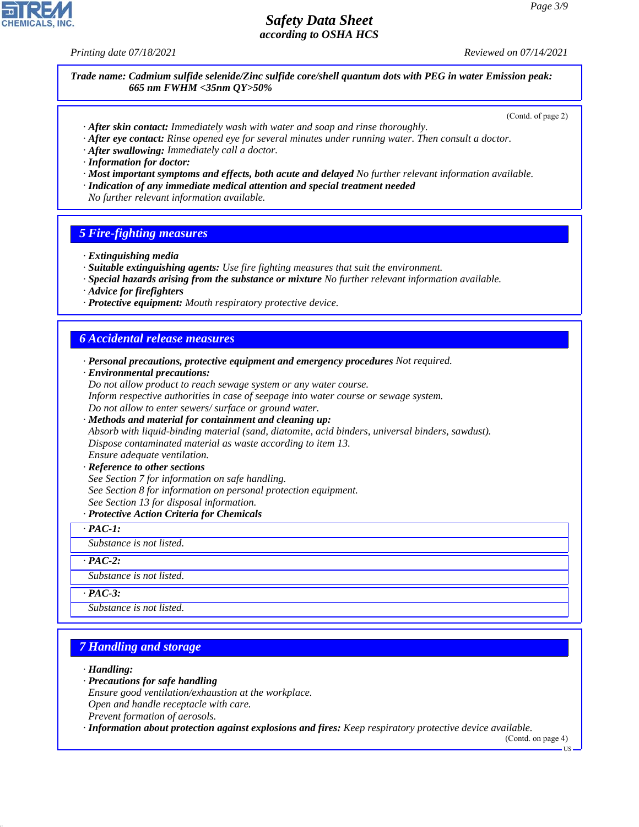*Printing date 07/18/2021 Reviewed on 07/14/2021*

*Trade name: Cadmium sulfide selenide/Zinc sulfide core/shell quantum dots with PEG in water Emission peak: 665 nm FWHM <35nm QY>50%*

(Contd. of page 2)

- *· After skin contact: Immediately wash with water and soap and rinse thoroughly.*
- *· After eye contact: Rinse opened eye for several minutes under running water. Then consult a doctor.*
- *· After swallowing: Immediately call a doctor.*
- *· Information for doctor:*
- *· Most important symptoms and effects, both acute and delayed No further relevant information available.*
- *· Indication of any immediate medical attention and special treatment needed*
- *No further relevant information available.*

#### *5 Fire-fighting measures*

- *· Extinguishing media*
- *· Suitable extinguishing agents: Use fire fighting measures that suit the environment.*
- *· Special hazards arising from the substance or mixture No further relevant information available.*
- *· Advice for firefighters*
- *· Protective equipment: Mouth respiratory protective device.*

### *6 Accidental release measures*

- *· Personal precautions, protective equipment and emergency procedures Not required.*
- *· Environmental precautions:*

*Do not allow product to reach sewage system or any water course. Inform respective authorities in case of seepage into water course or sewage system. Do not allow to enter sewers/ surface or ground water.*

*· Methods and material for containment and cleaning up: Absorb with liquid-binding material (sand, diatomite, acid binders, universal binders, sawdust). Dispose contaminated material as waste according to item 13. Ensure adequate ventilation.*

*· Reference to other sections*

- *See Section 7 for information on safe handling.*
- *See Section 8 for information on personal protection equipment.*
- *See Section 13 for disposal information.*
- *· Protective Action Criteria for Chemicals*
- *· PAC-1:*

*Substance is not listed.*

### *· PAC-2:*

*Substance is not listed.*

#### *· PAC-3:*

*Substance is not listed.*

# *7 Handling and storage*

*· Handling:*

44.1.1

- *· Precautions for safe handling*
- *Ensure good ventilation/exhaustion at the workplace.*

*Open and handle receptacle with care.*

*Prevent formation of aerosols.*

*· Information about protection against explosions and fires: Keep respiratory protective device available.*

(Contd. on page 4)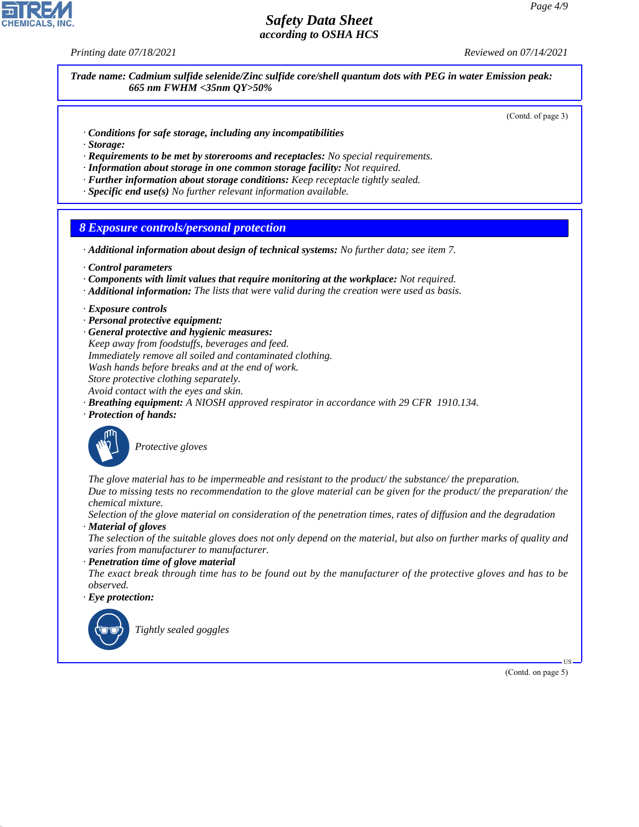*Printing date 07/18/2021 Reviewed on 07/14/2021*

*Trade name: Cadmium sulfide selenide/Zinc sulfide core/shell quantum dots with PEG in water Emission peak: 665 nm FWHM <35nm QY>50%*

(Contd. of page 3)

- *· Conditions for safe storage, including any incompatibilities*
- *· Storage:*
- *· Requirements to be met by storerooms and receptacles: No special requirements.*
- *· Information about storage in one common storage facility: Not required.*
- *· Further information about storage conditions: Keep receptacle tightly sealed.*
- *· Specific end use(s) No further relevant information available.*

## *8 Exposure controls/personal protection*

- *· Additional information about design of technical systems: No further data; see item 7.*
- *· Control parameters*
- *· Components with limit values that require monitoring at the workplace: Not required.*
- *· Additional information: The lists that were valid during the creation were used as basis.*
- *· Exposure controls*
- *· Personal protective equipment:*
- *· General protective and hygienic measures: Keep away from foodstuffs, beverages and feed. Immediately remove all soiled and contaminated clothing. Wash hands before breaks and at the end of work. Store protective clothing separately. Avoid contact with the eyes and skin.*
- *· Breathing equipment: A NIOSH approved respirator in accordance with 29 CFR 1910.134.*
- *· Protection of hands:*



\_S*Protective gloves*

*The glove material has to be impermeable and resistant to the product/ the substance/ the preparation. Due to missing tests no recommendation to the glove material can be given for the product/ the preparation/ the chemical mixture.*

*Selection of the glove material on consideration of the penetration times, rates of diffusion and the degradation · Material of gloves*

*The selection of the suitable gloves does not only depend on the material, but also on further marks of quality and varies from manufacturer to manufacturer.*

*· Penetration time of glove material*

*The exact break through time has to be found out by the manufacturer of the protective gloves and has to be observed.*

*· Eye protection:*



44.1.1

\_R*Tightly sealed goggles*

(Contd. on page 5)

US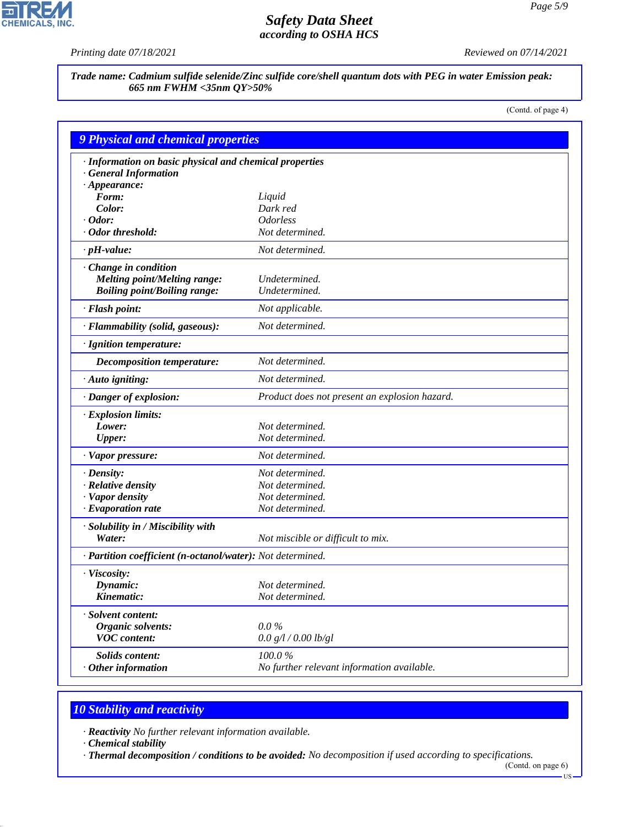피

**CHEMICALS, INC.** 

*Printing date 07/18/2021 Reviewed on 07/14/2021*

*Trade name: Cadmium sulfide selenide/Zinc sulfide core/shell quantum dots with PEG in water Emission peak: 665 nm FWHM <35nm QY>50%*

(Contd. of page 4)

| · Information on basic physical and chemical properties    |                                               |  |
|------------------------------------------------------------|-----------------------------------------------|--|
| · General Information                                      |                                               |  |
| $\cdot$ Appearance:                                        |                                               |  |
| Form:                                                      | Liquid                                        |  |
| Color:                                                     | Dark red                                      |  |
| $\cdot$ Odor:                                              | <i><u><b>Odorless</b></u></i>                 |  |
| · Odor threshold:                                          | Not determined.                               |  |
| $\cdot$ pH-value:                                          | Not determined.                               |  |
| · Change in condition                                      |                                               |  |
| <b>Melting point/Melting range:</b>                        | Undetermined.                                 |  |
| <b>Boiling point/Boiling range:</b>                        | Undetermined.                                 |  |
| · Flash point:                                             | Not applicable.                               |  |
| · Flammability (solid, gaseous):                           | Not determined.                               |  |
| · Ignition temperature:                                    |                                               |  |
| <b>Decomposition temperature:</b>                          | Not determined.                               |  |
| $\cdot$ Auto igniting:                                     | Not determined.                               |  |
| · Danger of explosion:                                     | Product does not present an explosion hazard. |  |
| · Explosion limits:                                        |                                               |  |
| Lower:                                                     | Not determined.                               |  |
| <b>Upper:</b>                                              | Not determined.                               |  |
| · Vapor pressure:                                          | Not determined.                               |  |
| $\cdot$ Density:                                           | Not determined.                               |  |
| · Relative density                                         | Not determined.                               |  |
| · Vapor density                                            | Not determined.                               |  |
| $\cdot$ Evaporation rate                                   | Not determined.                               |  |
| · Solubility in / Miscibility with                         |                                               |  |
| Water:                                                     | Not miscible or difficult to mix.             |  |
| · Partition coefficient (n-octanol/water): Not determined. |                                               |  |
| · Viscosity:                                               |                                               |  |
| Dynamic:                                                   | Not determined.                               |  |
| Kinematic:                                                 | Not determined.                               |  |
| · Solvent content:                                         |                                               |  |
| <b>Organic solvents:</b>                                   | $0.0\%$                                       |  |
| <b>VOC</b> content:                                        | 0.0 g/l / 0.00 lb/gl                          |  |
| Solids content:                                            | $100.0~\%$                                    |  |
| $\cdot$ Other information                                  | No further relevant information available.    |  |

# *10 Stability and reactivity*

*· Reactivity No further relevant information available.*

*· Chemical stability*

44.1.1

*· Thermal decomposition / conditions to be avoided: No decomposition if used according to specifications.*

(Contd. on page 6)  $-US$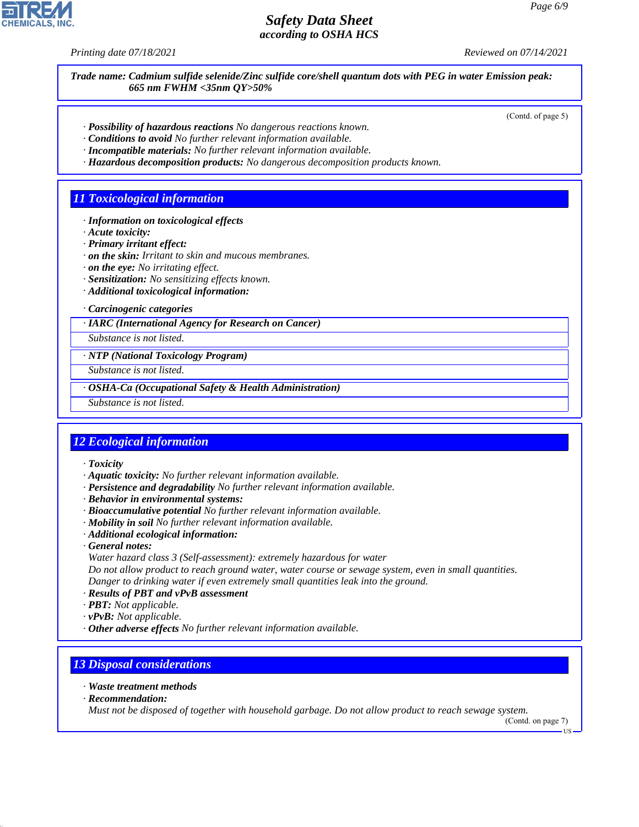*Printing date 07/18/2021 Reviewed on 07/14/2021*

*Trade name: Cadmium sulfide selenide/Zinc sulfide core/shell quantum dots with PEG in water Emission peak: 665 nm FWHM <35nm QY>50%*

(Contd. of page 5)

- *· Possibility of hazardous reactions No dangerous reactions known.*
- *· Conditions to avoid No further relevant information available.*
- *· Incompatible materials: No further relevant information available.*
- *· Hazardous decomposition products: No dangerous decomposition products known.*

## *11 Toxicological information*

- *· Information on toxicological effects*
- *· Acute toxicity:*
- *· Primary irritant effect:*
- *· on the skin: Irritant to skin and mucous membranes.*
- *· on the eye: No irritating effect.*
- *· Sensitization: No sensitizing effects known.*
- *· Additional toxicological information:*

*· Carcinogenic categories*

#### *· IARC (International Agency for Research on Cancer)*

*Substance is not listed.*

### *· NTP (National Toxicology Program)*

*Substance is not listed.*

*· OSHA-Ca (Occupational Safety & Health Administration)*

*Substance is not listed.*

## *12 Ecological information*

*· Toxicity*

- *· Aquatic toxicity: No further relevant information available.*
- *· Persistence and degradability No further relevant information available.*
- *· Behavior in environmental systems:*
- *· Bioaccumulative potential No further relevant information available.*
- *· Mobility in soil No further relevant information available.*
- *· Additional ecological information:*
- *· General notes:*
- *Water hazard class 3 (Self-assessment): extremely hazardous for water*

*Do not allow product to reach ground water, water course or sewage system, even in small quantities. Danger to drinking water if even extremely small quantities leak into the ground.*

- *· Results of PBT and vPvB assessment*
- *· PBT: Not applicable.*
- *· vPvB: Not applicable.*
- *· Other adverse effects No further relevant information available.*

## *13 Disposal considerations*

- *· Waste treatment methods*
- *· Recommendation:*

44.1.1

*Must not be disposed of together with household garbage. Do not allow product to reach sewage system.*

(Contd. on page 7) US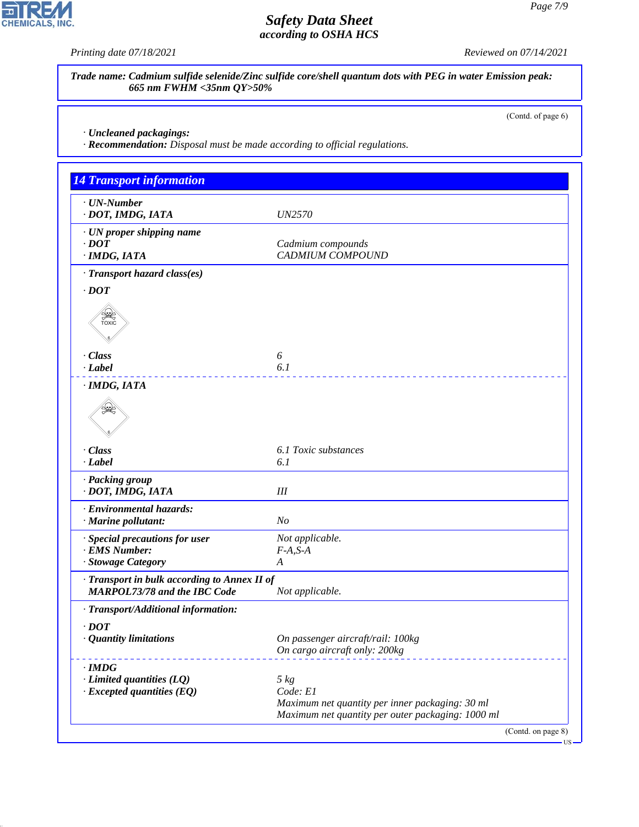피

**CHEMICALS, INC.** 

*Printing date 07/18/2021 Reviewed on 07/14/2021*

*Trade name: Cadmium sulfide selenide/Zinc sulfide core/shell quantum dots with PEG in water Emission peak: 665 nm FWHM <35nm QY>50%*

(Contd. of page 6)

*· Uncleaned packagings:*

44.1.1

*· Recommendation: Disposal must be made according to official regulations.*

| <b>14 Transport information</b>                                                     |                                                                                                      |
|-------------------------------------------------------------------------------------|------------------------------------------------------------------------------------------------------|
| $\cdot$ UN-Number<br>· DOT, IMDG, IATA                                              | <i>UN2570</i>                                                                                        |
| · UN proper shipping name<br>$\cdot$ DOT<br>$\cdot$ IMDG, IATA                      | Cadmium compounds<br><b>CADMIUM COMPOUND</b>                                                         |
| · Transport hazard class(es)                                                        |                                                                                                      |
| $\cdot$ <i>DOT</i>                                                                  |                                                                                                      |
| SEEP<br>TOXIC                                                                       |                                                                                                      |
| · Class                                                                             | 6                                                                                                    |
| $\cdot$ <i>Label</i>                                                                | 6.1                                                                                                  |
| · IMDG, IATA                                                                        |                                                                                                      |
|                                                                                     |                                                                                                      |
| · Class                                                                             | 6.1 Toxic substances                                                                                 |
| $\cdot$ Label                                                                       | 6.1                                                                                                  |
| · Packing group<br>· DOT, IMDG, IATA                                                | Ш                                                                                                    |
| · Environmental hazards:<br>· Marine pollutant:                                     | N <sub>O</sub>                                                                                       |
| · Special precautions for user                                                      | Not applicable.                                                                                      |
| · EMS Number:                                                                       | $F-A, S-A$                                                                                           |
| · Stowage Category                                                                  | $\boldsymbol{A}$                                                                                     |
| · Transport in bulk according to Annex II of<br><b>MARPOL73/78 and the IBC Code</b> | Not applicable.                                                                                      |
| · Transport/Additional information:                                                 |                                                                                                      |
| $\cdot$ DOT                                                                         |                                                                                                      |
| <b>Quantity limitations</b>                                                         | On passenger aircraft/rail: 100kg<br>On cargo aircraft only: 200kg                                   |
| $\cdot$ IMDG                                                                        |                                                                                                      |
| $\cdot$ Limited quantities (LQ)                                                     | $5 \ kg$                                                                                             |
| $\cdot$ Excepted quantities (EQ)                                                    | Code: E1                                                                                             |
|                                                                                     | Maximum net quantity per inner packaging: 30 ml<br>Maximum net quantity per outer packaging: 1000 ml |
|                                                                                     | (Contd. on page 8)                                                                                   |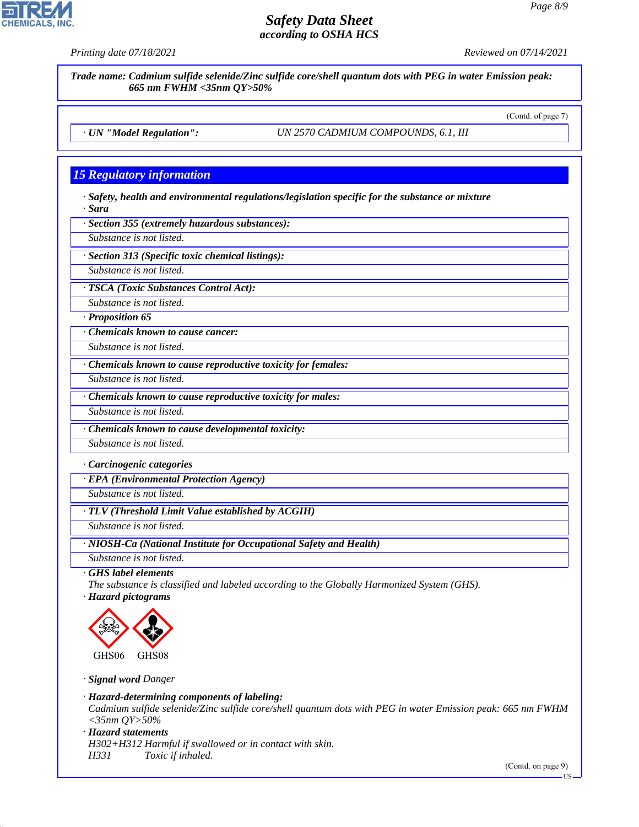*Trade name: Cadmium sulfide selenide/Zinc sulfide core/shell quantum dots with PEG in water Emission peak:*

*Printing date 07/18/2021 Reviewed on 07/14/2021*



*15 Regulatory information · Safety, health and environmental regulations/legislation specific for the substance or mixture · Sara · Section 355 (extremely hazardous substances): Substance is not listed. Substance is not listed. Substance is not listed. Substance is not listed. Substance is not listed. Substance is not listed. · Carcinogenic categories · EPA (Environmental Protection Agency) Substance is not listed. Substance is not listed. · GHS label elements The substance is classified and labeled according to the Globally Harmonized System (GHS).* GHS06 **de la commence de la commence de la commence de la commence de la commence de la commence de la commence de la commence de la commence de la commence de la commence de la commence de la commence de la commence de la comme** GHS08 *· Hazard-determining components of labeling: Cadmium sulfide selenide/Zinc sulfide core/shell quantum dots with PEG in water Emission peak: 665 nm FWHM <35nm QY>50% · Hazard statements H302+H312 Harmful if swallowed or in contact with skin. H331 Toxic if inhaled.*

*665 nm FWHM <35nm QY>50%*

*· UN "Model Regulation": UN 2570 CADMIUM COMPOUNDS, 6.1, III*

(Contd. of page 7)

*· Section 313 (Specific toxic chemical listings):*

*· TSCA (Toxic Substances Control Act):*

*Substance is not listed.*

*· Proposition 65*

*· Chemicals known to cause cancer:*

*· Chemicals known to cause reproductive toxicity for females:*

*· Chemicals known to cause reproductive toxicity for males:*

*· Chemicals known to cause developmental toxicity:*

*· TLV (Threshold Limit Value established by ACGIH)*

*Substance is not listed.*

*· NIOSH-Ca (National Institute for Occupational Safety and Health)*

*· Hazard pictograms*



*· Signal word Danger*

44.1.1

(Contd. on page 9)

US